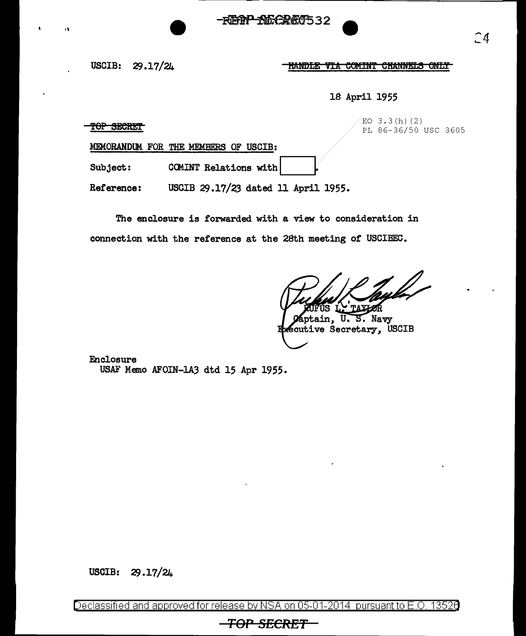-RIBBP fORCAGO532

USCIB:  $29.17/24$ 

## HANDLE VIA COMINT CHANNELS ONLY

18 April 1955

TOP SECRET

,,

 $EO$  3.3 $(h)$   $(2)$ PL 86-36/50 USC 3605

MEMORANDUM FOR THE MEMBERS OF USCIB:

Subject: COMINT Relations with

Reference: USCIB 29.17/23 dated 11 April 1955.

The enclosure is forwarded with a view to consideration in connection with the reference at the 28th meeting of USCIBEC.

ptain, U.S. Navy **Ecutive Secretary, USCIB** 

Enclosure USAF Memo AFOIN-1A3 dtd 15 Apr 1955.

 $USCIB: 29.17/24$ 

Declassified and approved for release by NSA on 05-01-2014 pursuantto E.O. 1352a

## TOP SECRET